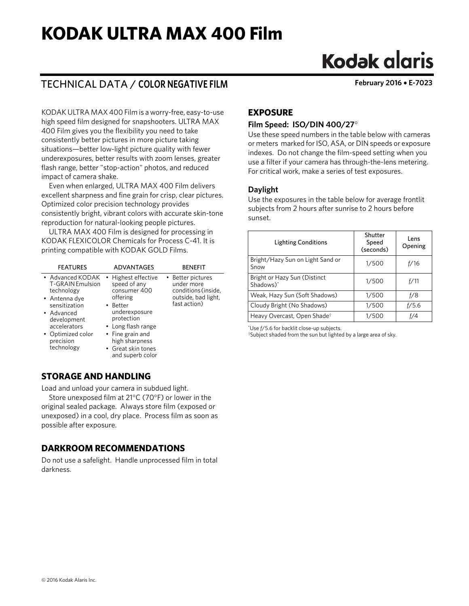## **KODAK ULTRA MAX 400 Film**

# **Kodak glaris**

## TECHNICAL DATA / **COLOR NEGATIVE FILM February 2016** • **E-7023**

KODAK ULTRA MAX 400 Film is a worry-free, easy-to-use high speed film designed for snapshooters. ULTRA MAX 400 Film gives you the flexibility you need to take consistently better pictures in more picture taking situations—better low-light picture quality with fewer underexposures, better results with zoom lenses, greater flash range, better "stop-action" photos, and reduced impact of camera shake.

Even when enlarged, ULTRA MAX 400 Film delivers excellent sharpness and fine grain for crisp, clear pictures. Optimized color precision technology provides consistently bright, vibrant colors with accurate skin-tone reproduction for natural-looking people pictures.

ULTRA MAX 400 Film is designed for processing in KODAK FLEXICOLOR Chemicals for Process C-41. It is printing compatible with KODAK GOLD Films.

| <b>FEATURES</b>                                                                                                                                                                           | ADVANTAGES                                                                                                                                                                                   | <b>BENFFIT</b>                                                                                |
|-------------------------------------------------------------------------------------------------------------------------------------------------------------------------------------------|----------------------------------------------------------------------------------------------------------------------------------------------------------------------------------------------|-----------------------------------------------------------------------------------------------|
| • Advanced KODAK<br>T-GRAIN Emulsion<br>technology<br>$\bullet$ Antenna dye<br>sensitization<br>• Advanced<br>development<br>accelerators<br>• Optimized color<br>precision<br>technology | • Highest effective<br>speed of any<br>consumer 400<br>offering<br>• Better<br>underexposure<br>protection<br>• Long flash range<br>• Fine grain and<br>high sharpness<br>• Great skin tones | • Better pictures<br>under more<br>conditions (inside,<br>outside, bad light,<br>fast action) |
|                                                                                                                                                                                           | and superb color                                                                                                                                                                             |                                                                                               |

## **STORAGE AND HANDLING**

Load and unload your camera in subdued light.

Store unexposed film at 21°C (70°F) or lower in the original sealed package. Always store film (exposed or unexposed) in a cool, dry place. Process film as soon as possible after exposure.

## **DARKROOM RECOMMENDATIONS**

Do not use a safelight. Handle unprocessed film in total darkness.

## **EXPOSURE**

#### **Film Speed: ISO/DIN 400/27**°

Use these speed numbers in the table below with cameras or meters marked for ISO, ASA, or DIN speeds or exposure indexes. Do not change the film-speed setting when you use a filter if your camera has through-the-lens metering. For critical work, make a series of test exposures.

#### **Daylight**

Use the exposures in the table below for average frontlit subjects from 2 hours after sunrise to 2 hours before sunset.

| <b>Lighting Conditions</b>                | Shutter<br>Speed<br>(seconds) | Lens<br>Opening |
|-------------------------------------------|-------------------------------|-----------------|
| Bright/Hazy Sun on Light Sand or<br>Snow  | 1/500                         | f/16            |
| Bright or Hazy Sun (Distinct<br>Shadows)* | 1/500                         | f/11            |
| Weak, Hazy Sun (Soft Shadows)             | 1/500                         | f/8             |
| Cloudy Bright (No Shadows)                | 1/500                         | f/5.6           |
| Heavy Overcast, Open Shade <sup>†</sup>   | 1/500                         | f/4             |

\*Use *f*/5.6 for backlit close-up subjects.

†Subject shaded from the sun but lighted by a large area of sky.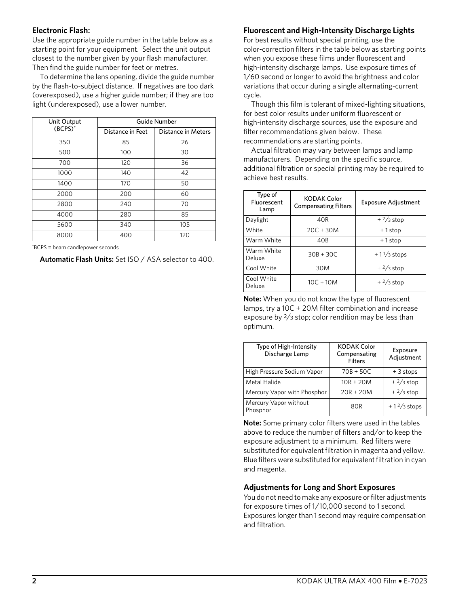#### **Electronic Flash:**

Use the appropriate guide number in the table below as a starting point for your equipment. Select the unit output closest to the number given by your flash manufacturer. Then find the guide number for feet or metres.

To determine the lens opening, divide the guide number by the flash-to-subject distance. If negatives are too dark (overexposed), use a higher guide number; if they are too light (underexposed), use a lower number.

| Unit Output<br>(BCPS)* | Guide Number     |                    |
|------------------------|------------------|--------------------|
|                        | Distance in Feet | Distance in Meters |
| 350                    | 85               | 26                 |
| 500                    | 100              | 30                 |
| 700                    | 120              | 36                 |
| 1000                   | 140              | 42                 |
| 1400                   | 170              | 50                 |
| 2000                   | 200              | 60                 |
| 2800                   | 240              | 70                 |
| 4000                   | 280              | 85                 |
| 5600                   | 340              | 105                |
| 8000                   | 400              | 120                |

\*BCPS = beam candlepower seconds

**Automatic Flash Units:** Set ISO / ASA selector to 400.

#### **Fluorescent and High-Intensity Discharge Lights**

For best results without special printing, use the color-correction filters in the table below as starting points when you expose these films under fluorescent and high-intensity discharge lamps. Use exposure times of 1/60 second or longer to avoid the brightness and color variations that occur during a single alternating-current cycle.

Though this film is tolerant of mixed-lighting situations, for best color results under uniform fluorescent or high-intensity discharge sources, use the exposure and filter recommendations given below. These recommendations are starting points.

Actual filtration may vary between lamps and lamp manufacturers. Depending on the specific source, additional filtration or special printing may be required to achieve best results.

| Type of<br>Fluorescent<br>Lamp | <b>KODAK Color</b><br><b>Compensating Filters</b> | <b>Exposure Adjustment</b> |
|--------------------------------|---------------------------------------------------|----------------------------|
| Daylight                       | 40R                                               | $+2/3$ stop                |
| White                          | $20C + 30M$                                       | +1stop                     |
| Warm White                     | 40 <sub>B</sub>                                   | +1stop                     |
| Warm White<br>Deluxe           | $30B + 30C$                                       | $+1\frac{1}{3}$ stops      |
| Cool White                     | 30M                                               | $+2/3$ stop                |
| Cool White<br>Deluxe           | $10C + 10M$                                       | $+2/3$ stop                |

**Note:** When you do not know the type of fluorescent lamps, try a 10C + 20M filter combination and increase exposure by  $\frac{2}{3}$  stop; color rendition may be less than optimum.

| Type of High-Intensity<br>Discharge Lamp | <b>KODAK Color</b><br>Compensating<br><b>Filters</b> | Exposure<br>Adjustment |
|------------------------------------------|------------------------------------------------------|------------------------|
| High Pressure Sodium Vapor               | $70B + 50C$                                          | $+3$ stops             |
| Metal Halide                             | $10R + 20M$                                          | $+2/3$ stop            |
| Mercury Vapor with Phosphor              | $20R + 20M$                                          | $+2/3$ stop            |
| Mercury Vapor without<br>Phosphor        | 80R                                                  | $+1\frac{2}{3}$ stops  |

**Note:** Some primary color filters were used in the tables above to reduce the number of filters and/or to keep the exposure adjustment to a minimum. Red filters were substituted for equivalent filtration in magenta and yellow. Blue filters were substituted for equivalent filtration in cyan and magenta.

#### **Adjustments for Long and Short Exposures**

You do not need to make any exposure or filter adjustments for exposure times of 1/10,000 second to 1 second. Exposures longer than 1 second may require compensation and filtration.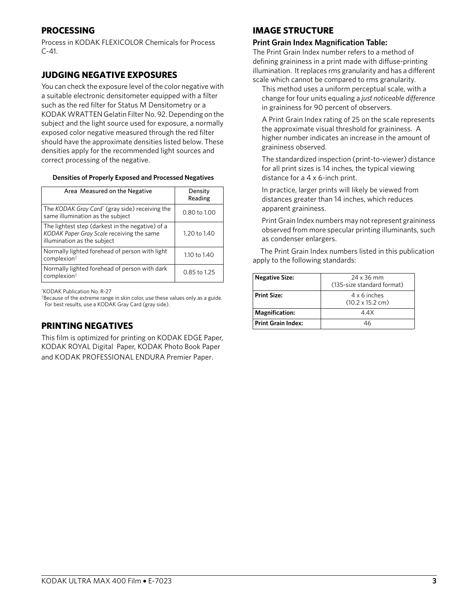## **PROCESSING**

Process in KODAK FLEXICOLOR Chemicals for Process  $C - 41.$ 

## **JUDGING NEGATIVE EXPOSURES**

You can check the exposure level of the color negative with a suitable electronic densitometer equipped with a filter such as the red filter for Status M Densitometry or a KODAK WRATTEN Gelatin Filter No. 92. Depending on the subject and the light source used for exposure, a normally exposed color negative measured through the red filter should have the approximate densities listed below. These densities apply for the recommended light sources and correct processing of the negative.

#### **Densities of Properly Exposed and Processed Negatives**

| Area Measured on the Negative                                                                                                | Density<br>Reading |
|------------------------------------------------------------------------------------------------------------------------------|--------------------|
| The KODAK Gray Card* (gray side) receiving the<br>same illumination as the subject                                           | $0.80$ to $1.00$   |
| The lightest step (darkest in the negative) of a<br>KODAK Paper Gray Scale receiving the same<br>illumination as the subject | 1.20 to 1.40       |
| Normally lighted forehead of person with light<br>complexion <sup>†</sup>                                                    | 1.10 to 1.40       |
| Normally lighted forehead of person with dark<br>complexion <sup>†</sup>                                                     | 0.85 to 1.25       |

\*KODAK Publication No. R-27

†Because of the extreme range in skin color, use these values only as a guide. For best results, use a KODAK Gray Card (gray side).

## **PRINTING NEGATIVES**

This film is optimized for printing on KODAK EDGE Paper, KODAK ROYAL Digital Paper, KODAK Photo Book Paper and KODAK PROFESSIONAL ENDURA Premier Paper.

### **IMAGE STRUCTURE**

#### **Print Grain Index Magnification Table:**

The Print Grain Index number refers to a method of defining graininess in a print made with diffuse-printing illumination. It replaces rms granularity and has a different scale which cannot be compared to rms granularity.

This method uses a uniform perceptual scale, with a change for four units equaling a *just noticeable difference* in graininess for 90 percent of observers.

A Print Grain Index rating of 25 on the scale represents the approximate visual threshold for graininess. A higher number indicates an increase in the amount of graininess observed.

The standardized inspection (print-to-viewer) distance for all print sizes is 14 inches, the typical viewing distance for a 4 x 6-inch print.

In practice, larger prints will likely be viewed from distances greater than 14 inches, which reduces apparent graininess.

Print Grain Index numbers may not represent graininess observed from more specular printing illuminants, such as condenser enlargers.

The Print Grain Index numbers listed in this publication apply to the following standards:

| <b>Negative Size:</b>     | 24 x 36 mm<br>(135-size standard format)               |
|---------------------------|--------------------------------------------------------|
| <b>Print Size:</b>        | $4 \times 6$ inches<br>$(10.2 \times 15.2 \text{ cm})$ |
| <b>Magnification:</b>     | 4.4X                                                   |
| <b>Print Grain Index:</b> | 46                                                     |